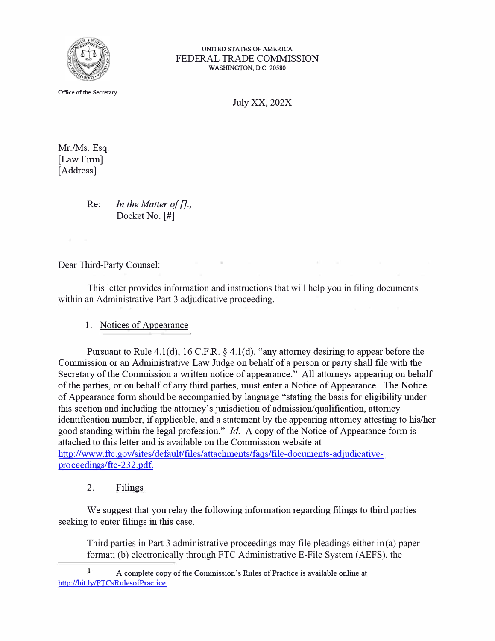

**UNITED STATES OF AMERICA**  FEDERAL TRADE COMMISSION **WASHINGTON, D.C. 20580** 

**Office of the Secretary** 

July XX, 202X

Mr./Ms. Esq. [Law Finn] [Address]

> Re: *In the Matter of [].*, Docket No. [#]

Dear Third-Party Counsel:

This letter provides information and instructions that will help you in filing documents within an Administrative Part 3 adjudicative proceeding.

1. Notices of Appearance

Pursuant to Rule 4.l(d), 16 C.F.R. § 4.l(d), "any attorney desiring to appear before the Commission or an Administrative Law Judge on behalf of a person or party shall file with the Secretary of the Commission a written notice of appearance." All attorneys appearing on behalf of the parties, or on behalf of any third parties, must enter a Notice of Appearance. The Notice of Appearance f01m should be accompanied by language "stating the basis for eligibility under this section and including the attorney's jurisdiction of admission/qualification, attorney identification number, if applicable, and a statement by the appearing attorney attesting to his/her good standing within the legal profession." *Id.* A copy of the Notice of Appearance form is attached to this letter and is available on the Commission website at http://www.ftc.gov/sites/default/files/attachments/faqs/file-documents-adjudicativeproceedings/ftc-232.pdf.

2. Filings

We suggest that you relay the following information regarding filings to third parties seeking to enter filings in this case.

Third parties in Part 3 administrative proceedings may file pleadings either in(a) paper format; (b) electronically through FTC Administrative E-File System (AEFS), the

 $\mathbf{1}$ A complete copy of the Commission's Rules of Practice is available online at http://bit.ly/FTCsRulesofPractice.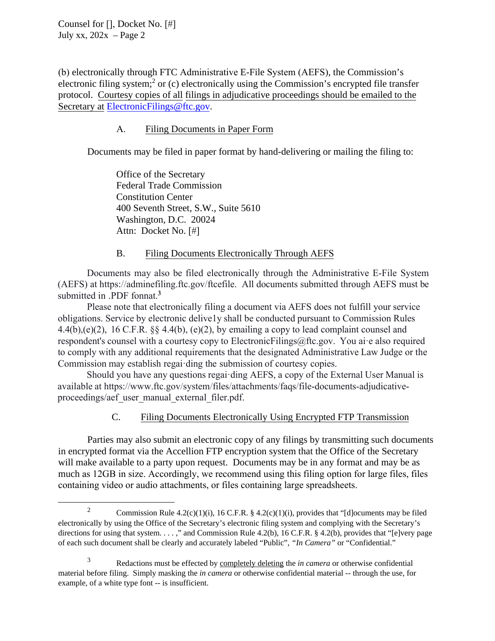Counsel for [], Docket No. [#] July xx,  $202x - Page 2$ 

electronic filing system;<sup>2</sup> or (c) electronically using the Commission's encrypted file transfer (b) electronically through FTC Administrative E-File System (AEFS), the Commission's protocol. Courtesy copies of all filings in adjudicative proceedings should be emailed to the Secretary at ElectronicFilings@ftc.gov.

## A. Filing Documents in Paper Form

Documents may be filed in paper format by hand-delivering or mailing the filing to:

Office of the Secretary Federal Trade Commission Constitution Center 400 Seventh Street, S.W., Suite 5610 Washington, D.C. 20024 Attn: Docket No. [#]

## B. Filing Documents Electronically Through AEFS

Documents may also be filed electronically through the Administrative E-File System (AEFS) at https://adminefiling.ftc.gov/ftcefile. All documents submitted through AEFS must be submitted in .PDF fonnat.**<sup>3</sup>**

 obligations. Service by electronic delive1y shall be conducted pursuant to Commission Rules Please note that electronically filing a document via AEFS does not fulfill your service 4.4(b),(e)(2), 16 C.F.R.  $\S$  4.4(b), (e)(2), by emailing a copy to lead complaint counsel and respondent's counsel with a courtesy copy to ElectronicFilings@ftc.gov. You ai·e also required to comply with any additional requirements that the designated Administrative Law Judge or the Commission may establish regai·ding the submission of courtesy copies.

Should you have any questions regai·ding AEFS, a copy of the External User Manual is available at https://www.ftc.gov/system/files/attachments/faqs/file-documents-adjudicativeproceedings/aef user manual external filer. pdf.

# C. Filing Documents Electronically Using Encrypted FTP Transmission

Parties may also submit an electronic copy of any filings by transmitting such documents in encrypted format via the Accellion FTP encryption system that the Office of the Secretary will make available to a party upon request. Documents may be in any format and may be as much as 12GB in size. Accordingly, we recommend using this filing option for large files, files containing video or audio attachments, or files containing large spreadsheets.

<sup>&</sup>lt;sup>2</sup> Commission Rule 4.2(c)(1)(i), 16 C.F.R. § 4.2(c)(1)(i), provides that "[d]ocuments may be filed electronically by using the Office of the Secretary's electronic filing system and complying with the Secretary's directions for using that system. . . . ," and Commission Rule 4.2(b), 16 C.F.R. § 4.2(b), provides that "[e]very page of each such document shall be clearly and accurately labeled "Public", *"In Camera"* or "Confidential."

 3 Redactions must be effected by completely deleting the *in camera* or otherwise confidential material before filing. Simply masking the *in camera* or otherwise confidential material -- through the use, for example, of a white type font -- is insufficient.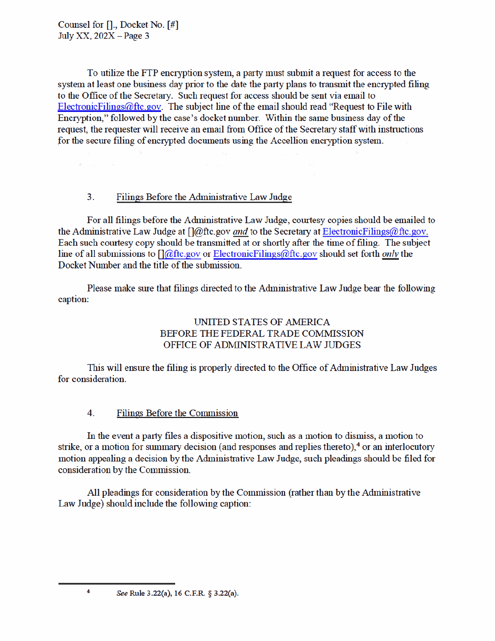$\mathcal{R}^{\prime}=\mathcal{R}^{\prime}$ 

To utilize the FTP encryption system, a party must submit a request for access to the system at least one business day prior to the date the party plans to transmit the encrypted filing to the Office of the Secretary. Such request for access should be sent via email to Electronic Filings  $@$  ftc.gov. The subject line of the email should read "Request to File with Encryption," followed by the case's docket number. Within the same business day of the request, the requester will receive an email from Office of the Secretary staff with instructions for the secure filing of encrypted documents using the Accellion encryption system.

#### $3<sub>1</sub>$ Filings Before the Administrative Law Judge

For all filings before the Administrative Law Judge, courtesy copies should be emailed to the Administrative Law Judge at  $\int |d\rho|$ ftc.gov *and* to the Secretary at ElectronicFilings@ftc.gov. Each such courtesy copy should be transmitted at or shortly after the time of filing. The subject line of all submissions to  $\iint \omega$ ftc.gov or Electronic Filings  $\omega$ ftc.gov should set forth *only* the Docket Number and the title of the submission.

Please make sure that filings directed to the Administrative Law Judge bear the following caption:

# UNITED STATES OF AMERICA BEFORE THE FEDERAL TRADE COMMISSION OFFICE OF ADMINISTRATIVE LAW JUDGES

This will ensure the filing is properly directed to the Office of Administrative Law Judges for consideration.

#### $\overline{4}$ **Filings Before the Commission**

In the event a party files a dispositive motion, such as a motion to dismiss, a motion to strike, or a motion for summary decision (and responses and replies thereto), $4$  or an interlocutory motion appealing a decision by the Administrative Law Judge, such pleadings should be filed for consideration by the Commission.

All pleadings for consideration by the Commission (rather than by the Administrative Law Judge) should include the following caption:

 $\overline{4}$ 

See Rule 3.22(a), 16 C.F.R. § 3.22(a).